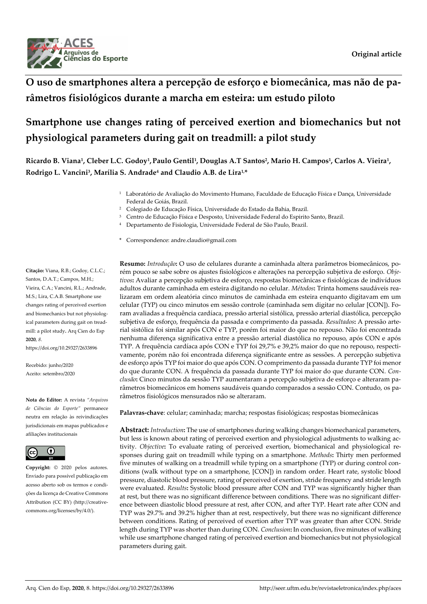

## **O uso de smartphones altera a percepção de esforço e biomecânica, mas não de parâmetros fisiológicos durante a marcha em esteira: um estudo piloto**

# **Smartphone use changes rating of perceived exertion and biomechanics but not physiological parameters during gait on treadmill: a pilot study**

**Ricardo B. Viana<sup>1</sup> , Cleber L.C. Godoy<sup>1</sup> , Paulo Gentil<sup>1</sup> , Douglas A.T Santos<sup>2</sup> , Mario H. Campos<sup>1</sup> , Carlos A. Vieira<sup>1</sup> , Rodrigo L. Vancini<sup>3</sup> , Marília S. Andrade<sup>4</sup> and Claudio A.B. de Lira1,\***

- <sup>1</sup>Laboratório de Avaliação do Movimento Humano, Faculdade de Educação Física e Dança, Universidade Federal de Goiás, Brazil.
- <sup>2</sup> Colegiado de Educação Física, Universidade do Estado da Bahia, Brazil.
- <sup>3</sup> Centro de Educação Física e Desposto, Universidade Federal do Espirito Santo, Brazil.
- <sup>4</sup> Departamento de Fisiologia, Universidade Federal de São Paulo, Brazil.
- \* Correspondence: andre.claudio@gmail.com

**Citação:** Viana, R.B.; Godoy, C.L.C.; Santos, D.A.T.; Campos, M.H.; Vieira, C.A.; Vancini, R.L.; Andrade, M.S.; Lira, C.A.B. Smartphone use changes rating of perceived exertion and biomechanics but not physiological parameters during gait on treadmill: a pilot study**.** Arq Cien do Esp **2020**, *8*.

https://doi.org/10.29327/2633896

Recebido: junho/2020 Aceito: setembro/2020

**Nota do Editor:** A revista *"Arquivos de Ciências do Esporte"* permanece neutra em relação às reivindicações jurisdicionais em mapas publicados e afiliações institucionais



**Copyright:** © 2020 pelos autores. Enviado para possível publicação em acesso aberto sob os termos e condições da licença de Creative Commons Attribution (CC BY) [\(http://creative](http://creativecommons.org/licenses/by/4.0/)[commons.org/licenses/by/4.0/\)](http://creativecommons.org/licenses/by/4.0/).

**Resumo:** *Introdução***:** O uso de celulares durante a caminhada altera parâmetros biomecânicos, porém pouco se sabe sobre os ajustes fisiológicos e alterações na percepção subjetiva de esforço. *Objetivos***:** Avaliar a percepção subjetiva de esforço, respostas biomecânicas e fisiológicas de indivíduos adultos durante caminhada em esteira digitando no celular. *Métodos***:** Trinta homens saudáveis realizaram em ordem aleatória cinco minutos de caminhada em esteira enquanto digitavam em um celular (TYP) ou cinco minutos em sessão controle (caminhada sem digitar no celular [CON]). Foram avaliadas a frequência cardíaca, pressão arterial sistólica, pressão arterial diastólica, percepção subjetiva de esforço, frequência da passada e comprimento da passada. *Resultados***:** A pressão arterial sistólica foi similar após CON e TYP, porém foi maior do que no repouso. Não foi encontrada nenhuma diferença significativa entre a pressão arterial diastólica no repouso, após CON e após TYP. A frequência cardíaca após CON e TYP foi 29,7% e 39,2% maior do que no repouso, respectivamente, porém não foi encontrada diferença significante entre as sessões. A percepção subjetiva de esforço após TYP foi maior do que após CON. O comprimento da passada durante TYP foi menor do que durante CON. A frequência da passada durante TYP foi maior do que durante CON. *Conclusão***:** Cinco minutos da sessão TYP aumentaram a percepção subjetiva de esforço e alteraram parâmetros biomecânicos em homens saudáveis quando comparados a sessão CON. Contudo, os parâmetros fisiológicos mensurados não se alteraram.

**Palavras-chave**: celular; caminhada; marcha; respostas fisiológicas; respostas biomecânicas

**Abstract:** *Introduction***:** The use of smartphones during walking changes biomechanical parameters, but less is known about rating of perceived exertion and physiological adjustments to walking activity. *Objective***:** To evaluate rating of perceived exertion, biomechanical and physiological responses during gait on treadmill while typing on a smartphone. *Methods***:** Thirty men performed five minutes of walking on a treadmill while typing on a smartphone (TYP) or during control conditions (walk without type on a smartphone, [CON]) in random order. Heart rate, systolic blood pressure, diastolic blood pressure, rating of perceived of exertion, stride frequency and stride length were evaluated. *Results***:** Systolic blood pressure after CON and TYP was significantly higher than at rest, but there was no significant difference between conditions. There was no significant difference between diastolic blood pressure at rest, after CON, and after TYP. Heart rate after CON and TYP was 29.7% and 39.2% higher than at rest, respectively, but there was no significant difference between conditions. Rating of perceived of exertion after TYP was greater than after CON. Stride length during TYP was shorter than during CON. *Conclusion***:** In conclusion, five minutes of walking while use smartphone changed rating of perceived exertion and biomechanics but not physiological parameters during gait.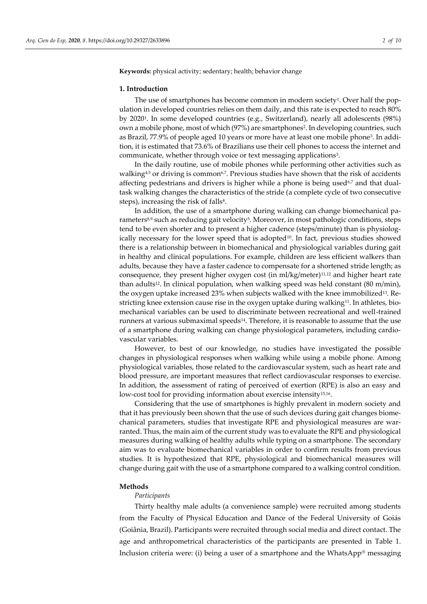**Keywords:** physical activity; sedentary; health; behavior change

#### **1. Introduction**

The use of smartphones has become common in modern society<sup>1</sup>. Over half the population in developed countries relies on them daily, and this rate is expected to reach 80% by 2020<sup>1</sup> . In some developed countries (e.g., Switzerland), nearly all adolescents (98%) own a mobile phone, most of which (97%) are smartphones<sup>2</sup>. In developing countries, such as Brazil, 77.9% of people aged 10 years or more have at least one mobile phone<sup>3</sup> . In addition, it is estimated that 73.6% of Brazilians use their cell phones to access the internet and communicate, whether through voice or text messaging applications<sup>3</sup>.

In the daily routine, use of mobile phones while performing other activities such as walking $4.5$  or driving is common<sup> $6,7$ </sup>. Previous studies have shown that the risk of accidents affecting pedestrians and drivers is higher while a phone is being used<sup>6,7</sup> and that dualtask walking changes the characteristics of the stride (a complete cycle of two consecutive steps), increasing the risk of falls<sup>4</sup>.

In addition, the use of a smartphone during walking can change biomechanical parameters<sup>8,9</sup> such as reducing gait velocity<sup>5</sup>. Moreover, in most pathologic conditions, steps tend to be even shorter and to present a higher cadence (steps/minute) than is physiologically necessary for the lower speed that is adopted $10$ . In fact, previous studies showed there is a relationship between in biomechanical and physiological variables during gait in healthy and clinical populations. For example, children are less efficient walkers than adults, because they have a faster cadence to compensate for a shortened stride length; as consequence, they present higher oxygen cost (in ml/kg/meter)11,12 and higher heart rate than adults<sup>12</sup>. In clinical population, when walking speed was held constant (80 m/min), the oxygen uptake increased 23% when subjects walked with the knee immobilized<sup>13</sup>. Restricting knee extension cause rise in the oxygen uptake during walking<sup>11</sup>. In athletes, biomechanical variables can be used to discriminate between recreational and well-trained runners at various submaximal speeds<sup>14</sup>. Therefore, it is reasonable to assume that the use of a smartphone during walking can change physiological parameters, including cardiovascular variables.

However, to best of our knowledge, no studies have investigated the possible changes in physiological responses when walking while using a mobile phone. Among physiological variables, those related to the cardiovascular system, such as heart rate and blood pressure, are important measures that reflect cardiovascular responses to exercise. In addition, the assessment of rating of perceived of exertion (RPE) is also an easy and low-cost tool for providing information about exercise intensity<sup>15,16</sup>.

Considering that the use of smartphones is highly prevalent in modern society and that it has previously been shown that the use of such devices during gait changes biomechanical parameters, studies that investigate RPE and physiological measures are warranted. Thus, the main aim of the current study was to evaluate the RPE and physiological measures during walking of healthy adults while typing on a smartphone. The secondary aim was to evaluate biomechanical variables in order to confirm results from previous studies. It is hypothesized that RPE, physiological and biomechanical measures will change during gait with the use of a smartphone compared to a walking control condition.

## **Methods**

### *Participants*

Thirty healthy male adults (a convenience sample) were recruited among students from the Faculty of Physical Education and Dance of the Federal University of Goiás (Goiânia, Brazil). Participants were recruited through social media and direct contact. The age and anthropometrical characteristics of the participants are presented in Table 1. Inclusion criteria were: (i) being a user of a smartphone and the WhatsApp® messaging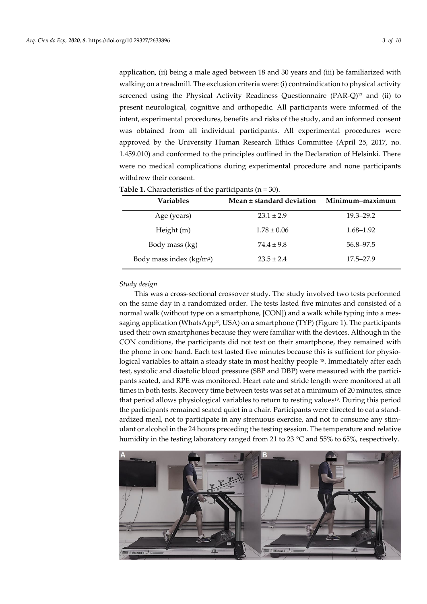application, (ii) being a male aged between 18 and 30 years and (iii) be familiarized with walking on a treadmill. The exclusion criteria were: (i) contraindication to physical activity screened using the Physical Activity Readiness Questionnaire  $(PAR-Q)^{17}$  and (ii) to present neurological, cognitive and orthopedic. All participants were informed of the intent, experimental procedures, benefits and risks of the study, and an informed consent was obtained from all individual participants. All experimental procedures were approved by the University Human Research Ethics Committee (April 25, 2017, no. 1.459.010) and conformed to the principles outlined in the Declaration of Helsinki. There were no medical complications during experimental procedure and none participants withdrew their consent.

**Table 1.** Characteristics of the participants (n = 30).

| <b>Variables</b>          | Mean ± standard deviation | Minimum-maximum |
|---------------------------|---------------------------|-----------------|
| Age (years)               | $23.1 \pm 2.9$            | $19.3 - 29.2$   |
| Height $(m)$              | $1.78 \pm 0.06$           | 1.68–1.92       |
| Body mass (kg)            | $74.4 \pm 9.8$            | 56.8–97.5       |
| Body mass index $(kg/m2)$ | $23.5 \pm 2.4$            | $17.5 - 27.9$   |

#### *Study design*

This was a cross-sectional crossover study. The study involved two tests performed on the same day in a randomized order. The tests lasted five minutes and consisted of a normal walk (without type on a smartphone, [CON]) and a walk while typing into a messaging application (WhatsApp®, USA) on a smartphone (TYP) (Figure 1). The participants used their own smartphones because they were familiar with the devices. Although in the CON conditions, the participants did not text on their smartphone, they remained with the phone in one hand. Each test lasted five minutes because this is sufficient for physiological variables to attain a steady state in most healthy people <sup>18</sup>. Immediately after each test, systolic and diastolic blood pressure (SBP and DBP) were measured with the participants seated, and RPE was monitored. Heart rate and stride length were monitored at all times in both tests. Recovery time between tests was set at a minimum of 20 minutes, since that period allows physiological variables to return to resting values19. During this period the participants remained seated quiet in a chair. Participants were directed to eat a standardized meal, not to participate in any strenuous exercise, and not to consume any stimulant or alcohol in the 24 hours preceding the testing session. The temperature and relative humidity in the testing laboratory ranged from 21 to 23 °C and 55% to 65%, respectively.

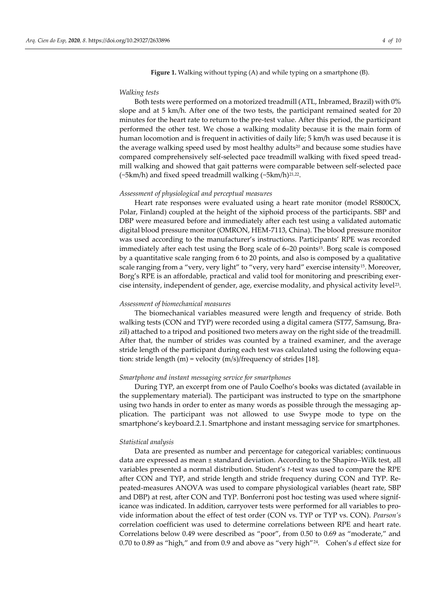**Figure 1.** Walking without typing (A) and while typing on a smartphone (B).

#### *Walking tests*

Both tests were performed on a motorized treadmill (ATL, Inbramed, Brazil) with 0% slope and at 5 km/h. After one of the two tests, the participant remained seated for 20 minutes for the heart rate to return to the pre-test value. After this period, the participant performed the other test. We chose a walking modality because it is the main form of human locomotion and is frequent in activities of daily life; 5 km/h was used because it is the average walking speed used by most healthy adults<sup>20</sup> and because some studies have compared comprehensively self-selected pace treadmill walking with fixed speed treadmill walking and showed that gait patterns were comparable between self-selected pace (~5km/h) and fixed speed treadmill walking (~5km/h)21,22 .

#### *Assessment of physiological and perceptual measures*

Heart rate responses were evaluated using a heart rate monitor (model RS800CX, Polar, Finland) coupled at the height of the xiphoid process of the participants. SBP and DBP were measured before and immediately after each test using a validated automatic digital blood pressure monitor (OMRON, HEM-7113, China). The blood pressure monitor was used according to the manufacturer's instructions. Participants' RPE was recorded immediately after each test using the Borg scale of  $6-20$  points<sup>15</sup>. Borg scale is composed by a quantitative scale ranging from 6 to 20 points, and also is composed by a qualitative scale ranging from a "very, very light" to "very, very hard" exercise intensity<sup>15</sup>. Moreover, Borg's RPE is an affordable, practical and valid tool for monitoring and prescribing exercise intensity, independent of gender, age, exercise modality, and physical activity level<sup>23</sup> .

## *Assessment of biomechanical measures*

The biomechanical variables measured were length and frequency of stride. Both walking tests (CON and TYP) were recorded using a digital camera (ST77, Samsung, Brazil) attached to a tripod and positioned two meters away on the right side of the treadmill. After that, the number of strides was counted by a trained examiner, and the average stride length of the participant during each test was calculated using the following equation: stride length (m) = velocity (m/s)/frequency of strides [18].

#### *Smartphone and instant messaging service for smartphones*

During TYP, an excerpt from one of Paulo Coelho's books was dictated (available in the supplementary material). The participant was instructed to type on the smartphone using two hands in order to enter as many words as possible through the messaging application. The participant was not allowed to use Swype mode to type on the smartphone's keyboard.2.1. Smartphone and instant messaging service for smartphones.

#### *Statistical analysis*

Data are presented as number and percentage for categorical variables; continuous data are expressed as mean ± standard deviation. According to the Shapiro–Wilk test, all variables presented a normal distribution. Student's *t*-test was used to compare the RPE after CON and TYP, and stride length and stride frequency during CON and TYP. Repeated-measures ANOVA was used to compare physiological variables (heart rate, SBP and DBP) at rest, after CON and TYP. Bonferroni post hoc testing was used where significance was indicated. In addition, carryover tests were performed for all variables to provide information about the effect of test order (CON vs. TYP or TYP vs. CON). *Pearson's* correlation coefficient was used to determine correlations between RPE and heart rate. Correlations below 0.49 were described as "poor", from 0.50 to 0.69 as "moderate," and 0.70 to 0.89 as "high," and from 0.9 and above as "very high"<sup>24</sup> *.* Cohen's *d* effect size for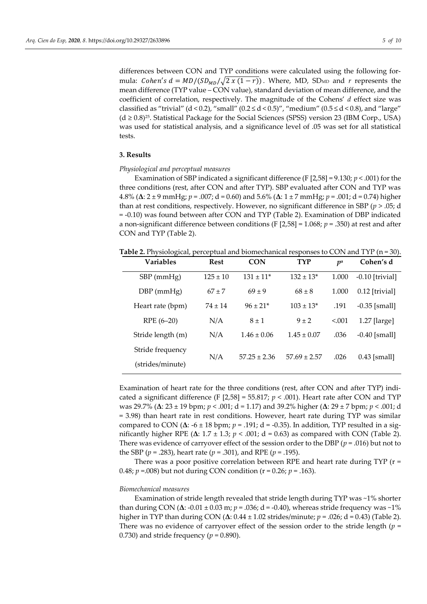differences between CON and TYP conditions were calculated using the following formula: *Cohen's d* =  $MD/(SD<sub>MD</sub>/\sqrt{2 \times (1-r)})$ . Where, MD, SD<sub>MD</sub> and *r* represents the mean difference (TYP value – CON value), standard deviation of mean difference, and the coefficient of correlation, respectively. The magnitude of the Cohens' *d* effect size was classified as "trivial" (d < 0.2), "small" (0.2  $\leq$  d < 0.5)", "medium" (0.5  $\leq$  d < 0.8), and "large"  $(d \ge 0.8)^{25}$ . Statistical Package for the Social Sciences (SPSS) version 23 (IBM Corp., USA) was used for statistical analysis, and a significance level of .05 was set for all statistical tests.

## **3. Results**

### *Physiological and perceptual measures*

Examination of SBP indicated a significant difference (F [2,58] = 9.130; *p* < .001) for the three conditions (rest, after CON and after TYP). SBP evaluated after CON and TYP was 4.8% (**Δ**: 2 ± 9 mmHg; *p* = .007; d = 0.60) and 5.6% (**Δ**: 1 ± 7 mmHg; *p* = .001; d = 0.74) higher than at rest conditions, respectively. However, no significant difference in SBP (*p* > .05; d = -0.10) was found between after CON and TYP (Table 2). Examination of DBP indicated a non-significant difference between conditions (F [2,58] = 1.068; *p* = .350) at rest and after CON and TYP (Table 2).

**Table 2.** Physiological, perceptual and biomechanical responses to CON and TYP (n = 30).

| Variables         | <b>Rest</b>  | <b>CON</b>                | <b>TYP</b>       | $p^{\rm a}$ | Cohen's d         |
|-------------------|--------------|---------------------------|------------------|-------------|-------------------|
| $SBP$ (mm $Hg$ )  | $125 \pm 10$ | $131 \pm 11$ <sup>*</sup> | $132 \pm 13*$    | 1.000       | $-0.10$ [trivial] |
| $DBP$ (mmHg)      | $67 \pm 7$   | $69 \pm 9$                | $68 \pm 8$       | 1.000       | $0.12$ [trivial]  |
| Heart rate (bpm)  | $74 \pm 14$  | $96 \pm 21*$              | $103 \pm 13^*$   | .191        | $-0.35$ [small]   |
| RPE (6-20)        | N/A          | $8 \pm 1$                 | $9 \pm 2$        | < 0.001     | $1.27$ [large]    |
| Stride length (m) | N/A          | $1.46 \pm 0.06$           | $1.45 \pm 0.07$  | .036        | $-0.40$ [small]   |
| Stride frequency  | N/A          | $57.25 \pm 2.36$          | $57.69 \pm 2.57$ | .026        | $0.43$ [small]    |
| (strides/minute)  |              |                           |                  |             |                   |
|                   |              |                           |                  |             |                   |

Examination of heart rate for the three conditions (rest, after CON and after TYP) indicated a significant difference (F  $[2,58] = 55.817$ ;  $p < .001$ ). Heart rate after CON and TYP was 29.7% (**Δ**: 23 ± 19 bpm; *p* < .001; d = 1.17) and 39.2% higher (**Δ**: 29 ± 7 bpm; *p* < .001; d = 3.98) than heart rate in rest conditions. However, heart rate during TYP was similar compared to CON (**Δ**: -6 ± 18 bpm; *p* = .191; d = -0.35). In addition, TYP resulted in a significantly higher RPE ( $\Delta$ : 1.7  $\pm$  1.3;  $p < .001$ ; d = 0.63) as compared with CON (Table 2). There was evidence of carryover effect of the session order to the DBP  $(p = .016)$  but not to the SBP (*p* = .283), heart rate (*p* = .301), and RPE (*p* = .195).

There was a poor positive correlation between RPE and heart rate during  $TYP$  ( $r =$ 0.48; *p* =.008) but not during CON condition (r = 0.26; *p* = .163).

#### *Biomechanical measures*

Examination of stride length revealed that stride length during TYP was ~1% shorter than during CON (**Δ**: -0.01 ± 0.03 m; *p* = .036; d = -0.40), whereas stride frequency was ~1% higher in TYP than during CON (**Δ**: 0.44 ± 1.02 strides/minute; *p* = .026; d = 0.43) (Table 2). There was no evidence of carryover effect of the session order to the stride length (*p* = 0.730) and stride frequency ( $p = 0.890$ ).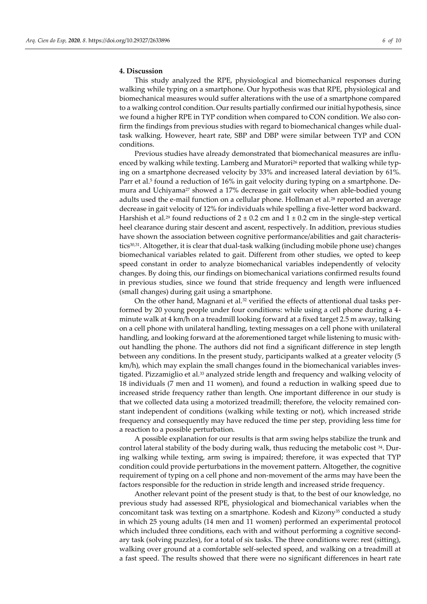## **4. Discussion**

This study analyzed the RPE, physiological and biomechanical responses during walking while typing on a smartphone. Our hypothesis was that RPE, physiological and biomechanical measures would suffer alterations with the use of a smartphone compared to a walking control condition. Our results partially confirmed our initial hypothesis, since we found a higher RPE in TYP condition when compared to CON condition. We also confirm the findings from previous studies with regard to biomechanical changes while dualtask walking. However, heart rate, SBP and DBP were similar between TYP and CON conditions.

Previous studies have already demonstrated that biomechanical measures are influenced by walking while texting. Lamberg and Muratori<sup>26</sup> reported that walking while typing on a smartphone decreased velocity by 33% and increased lateral deviation by 61%. Parr et al.<sup>5</sup> found a reduction of 16% in gait velocity during typing on a smartphone. Demura and Uchiyama<sup>27</sup> showed a 17% decrease in gait velocity when able-bodied young adults used the e-mail function on a cellular phone. Hollman et al.<sup>28</sup> reported an average decrease in gait velocity of 12% for individuals while spelling a five-letter word backward. Harshish et al.<sup>29</sup> found reductions of  $2 \pm 0.2$  cm and  $1 \pm 0.2$  cm in the single-step vertical heel clearance during stair descent and ascent, respectively. In addition, previous studies have shown the association between cognitive performance/abilities and gait characteristics<sup>30,31</sup>. Altogether, it is clear that dual-task walking (including mobile phone use) changes biomechanical variables related to gait. Different from other studies, we opted to keep speed constant in order to analyze biomechanical variables independently of velocity changes. By doing this, our findings on biomechanical variations confirmed results found in previous studies, since we found that stride frequency and length were influenced (small changes) during gait using a smartphone.

On the other hand, Magnani et al. $32$  verified the effects of attentional dual tasks performed by 20 young people under four conditions: while using a cell phone during a 4 minute walk at 4 km/h on a treadmill looking forward at a fixed target 2.5 m away, talking on a cell phone with unilateral handling, texting messages on a cell phone with unilateral handling, and looking forward at the aforementioned target while listening to music without handling the phone. The authors did not find a significant difference in step length between any conditions. In the present study, participants walked at a greater velocity (5 km/h), which may explain the small changes found in the biomechanical variables investigated. Pizzamiglio et al.<sup>33</sup> analyzed stride length and frequency and walking velocity of 18 individuals (7 men and 11 women), and found a reduction in walking speed due to increased stride frequency rather than length. One important difference in our study is that we collected data using a motorized treadmill; therefore, the velocity remained constant independent of conditions (walking while texting or not), which increased stride frequency and consequently may have reduced the time per step, providing less time for a reaction to a possible perturbation.

A possible explanation for our results is that arm swing helps stabilize the trunk and control lateral stability of the body during walk, thus reducing the metabolic cost  $34$ . During walking while texting, arm swing is impaired; therefore, it was expected that TYP condition could provide perturbations in the movement pattern. Altogether, the cognitive requirement of typing on a cell phone and non-movement of the arms may have been the factors responsible for the reduction in stride length and increased stride frequency.

Another relevant point of the present study is that, to the best of our knowledge, no previous study had assessed RPE, physiological and biomechanical variables when the concomitant task was texting on a smartphone. Kodesh and Kizony<sup>35</sup> conducted a study in which 25 young adults (14 men and 11 women) performed an experimental protocol which included three conditions, each with and without performing a cognitive secondary task (solving puzzles), for a total of six tasks. The three conditions were: rest (sitting), walking over ground at a comfortable self-selected speed, and walking on a treadmill at a fast speed. The results showed that there were no significant differences in heart rate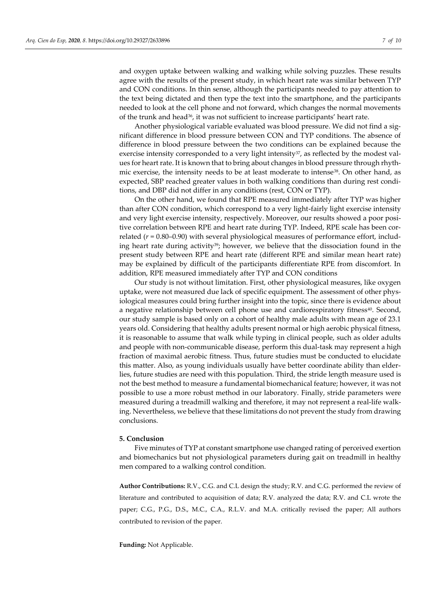and oxygen uptake between walking and walking while solving puzzles. These results agree with the results of the present study, in which heart rate was similar between TYP and CON conditions. In thin sense, although the participants needed to pay attention to the text being dictated and then type the text into the smartphone, and the participants needed to look at the cell phone and not forward, which changes the normal movements of the trunk and head<sup>36</sup>, it was not sufficient to increase participants' heart rate.

Another physiological variable evaluated was blood pressure. We did not find a significant difference in blood pressure between CON and TYP conditions. The absence of difference in blood pressure between the two conditions can be explained because the exercise intensity corresponded to a very light intensity<sup>37</sup>, as reflected by the modest values for heart rate. It is known that to bring about changes in blood pressure through rhythmic exercise, the intensity needs to be at least moderate to intense<sup>38</sup>. On other hand, as expected, SBP reached greater values in both walking conditions than during rest conditions, and DBP did not differ in any conditions (rest, CON or TYP).

On the other hand, we found that RPE measured immediately after TYP was higher than after CON condition, which correspond to a very light-fairly light exercise intensity and very light exercise intensity, respectively. Moreover, our results showed a poor positive correlation between RPE and heart rate during TYP. Indeed, RPE scale has been correlated (*r* = 0.80–0.90) with several physiological measures of performance effort, including heart rate during activity<sup>39</sup>; however, we believe that the dissociation found in the present study between RPE and heart rate (different RPE and similar mean heart rate) may be explained by difficult of the participants differentiate RPE from discomfort. In addition, RPE measured immediately after TYP and CON conditions

Our study is not without limitation. First, other physiological measures, like oxygen uptake, were not measured due lack of specific equipment. The assessment of other physiological measures could bring further insight into the topic, since there is evidence about a negative relationship between cell phone use and cardiorespiratory fitness<sup>40</sup>. Second, our study sample is based only on a cohort of healthy male adults with mean age of 23.1 years old. Considering that healthy adults present normal or high aerobic physical fitness, it is reasonable to assume that walk while typing in clinical people, such as older adults and people with non-communicable disease, perform this dual-task may represent a high fraction of maximal aerobic fitness. Thus, future studies must be conducted to elucidate this matter. Also, as young individuals usually have better coordinate ability than elderlies, future studies are need with this population. Third, the stride length measure used is not the best method to measure a fundamental biomechanical feature; however, it was not possible to use a more robust method in our laboratory. Finally, stride parameters were measured during a treadmill walking and therefore, it may not represent a real-life walking. Nevertheless, we believe that these limitations do not prevent the study from drawing conclusions.

## **5. Conclusion**

Five minutes of TYP at constant smartphone use changed rating of perceived exertion and biomechanics but not physiological parameters during gait on treadmill in healthy men compared to a walking control condition.

**Author Contributions:** R.V., C.G. and C.L design the study; R.V. and C.G. performed the review of literature and contributed to acquisition of data; R.V. analyzed the data; R.V. and C.L wrote the paper; C.G., P.G., D.S., M.C., C.A., R.L.V. and M.A. critically revised the paper; All authors contributed to revision of the paper.

**Funding:** Not Applicable.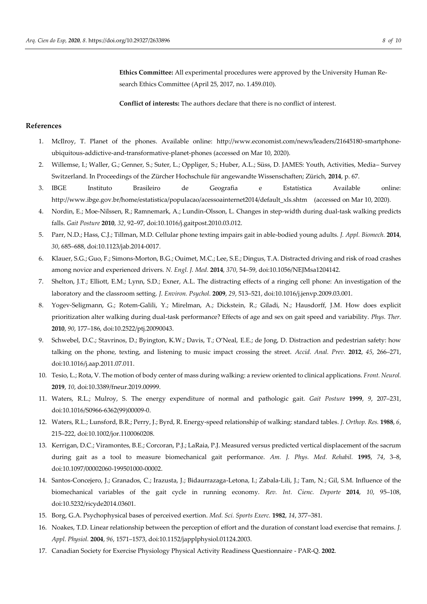**Ethics Committee:** All experimental procedures were approved by the University Human Research Ethics Committee (April 25, 2017, no. 1.459.010).

**Conflict of interests:** The authors declare that there is no conflict of interest.

### **References**

- 1. McIlroy, T. Planet of the phones. Available online: http://www.economist.com/news/leaders/21645180-smartphoneubiquitous-addictive-and-transformative-planet-phones (accessed on Mar 10, 2020).
- 2. Willemse, I.; Waller, G.; Genner, S.; Suter, L.; Oppliger, S.; Huber, A.L.; Süss, D. JAMES: Youth, Activities, Media– Survey Switzerland. In Proceedings of the Zürcher Hochschule für angewandte Wissenschaften; Zürich, **2014**, p. 67.
- 3. IBGE Instituto Brasileiro de Geografia e Estatística Available online: http://www.ibge.gov.br/home/estatistica/populacao/acessoainternet2014/default\_xls.shtm (accessed on Mar 10, 2020).
- 4. Nordin, E.; Moe-Nilssen, R.; Ramnemark, A.; Lundin-Olsson, L. Changes in step-width during dual-task walking predicts falls. *Gait Posture* **2010**, *32*, 92–97, doi:10.1016/j.gaitpost.2010.03.012.
- 5. Parr, N.D.; Hass, C.J.; Tillman, M.D. Cellular phone texting impairs gait in able-bodied young adults. *J. Appl. Biomech.* **2014**, *30*, 685–688, doi:10.1123/jab.2014-0017.
- 6. Klauer, S.G.; Guo, F.; Simons-Morton, B.G.; Ouimet, M.C.; Lee, S.E.; Dingus, T.A. Distracted driving and risk of road crashes among novice and experienced drivers. *N. Engl. J. Med.* **2014**, *370*, 54–59, doi:10.1056/NEJMsa1204142.
- 7. Shelton, J.T.; Elliott, E.M.; Lynn, S.D.; Exner, A.L. The distracting effects of a ringing cell phone: An investigation of the laboratory and the classroom setting. *J. Environ. Psychol.* **2009**, *29*, 513–521, doi:10.1016/j.jenvp.2009.03.001.
- 8. Yogev-Seligmann, G.; Rotem-Galili, Y.; Mirelman, A.; Dickstein, R.; Giladi, N.; Hausdorff, J.M. How does explicit prioritization alter walking during dual-task performance? Effects of age and sex on gait speed and variability. *Phys. Ther.* **2010**, *90*, 177–186, doi:10.2522/ptj.20090043.
- 9. Schwebel, D.C.; Stavrinos, D.; Byington, K.W.; Davis, T.; O'Neal, E.E.; de Jong, D. Distraction and pedestrian safety: how talking on the phone, texting, and listening to music impact crossing the street. *Accid. Anal. Prev.* **2012**, *45*, 266–271, doi:10.1016/j.aap.2011.07.011.
- 10. Tesio, L.; Rota, V. The motion of body center of mass during walking: a review oriented to clinical applications. *Front. Neurol.* **2019**, *10*, doi:10.3389/fneur.2019.00999.
- 11. Waters, R.L.; Mulroy, S. The energy expenditure of normal and pathologic gait. *Gait Posture* **1999**, *9*, 207–231, doi:10.1016/S0966-6362(99)00009-0.
- 12. Waters, R.L.; Lunsford, B.R.; Perry, J.; Byrd, R. Energy-speed relationship of walking: standard tables. *J. Orthop. Res.* **1988**, *6*, 215–222, doi:10.1002/jor.1100060208.
- 13. Kerrigan, D.C.; Viramontes, B.E.; Corcoran, P.J.; LaRaia, P.J. Measured versus predicted vertical displacement of the sacrum during gait as a tool to measure biomechanical gait performance. *Am. J. Phys. Med. Rehabil.* **1995**, *74*, 3–8, doi:10.1097/00002060-199501000-00002.
- 14. Santos-Concejero, J.; Granados, C.; Irazusta, J.; Bidaurrazaga-Letona, I.; Zabala-Lili, J.; Tam, N.; Gil, S.M. Influence of the biomechanical variables of the gait cycle in running economy. *Rev. Int. Cienc. Deporte* **2014**, *10*, 95–108, doi:10.5232/ricyde2014.03601.
- 15. Borg, G.A. Psychophysical bases of perceived exertion. *Med. Sci. Sports Exerc.* **1982**, *14*, 377–381.
- 16. Noakes, T.D. Linear relationship between the perception of effort and the duration of constant load exercise that remains. *J. Appl. Physiol.* **2004**, *96*, 1571–1573, doi:10.1152/japplphysiol.01124.2003.
- 17. Canadian Society for Exercise Physiology Physical Activity Readiness Questionnaire PAR-Q. **2002**.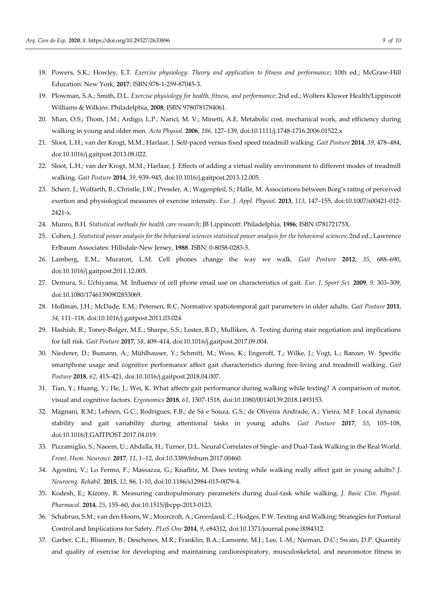- 18. Powers, S.K.; Howley, E.T. *Exercise physiology: Theory and application to fitness and performance*; 10th ed.; McGraw-Hill Education: New York, **2017**; ISBN:978-1-259-87045-3.
- 19. Plowman, S.A.; Smith, D.L. *Exercise physiology for health, fitness, and performance*; 2nd ed.; Wolters Kluwer Health/Lippincott Williams & Wilkins: Philadelphia, **2008**; ISBN 9780781784061.
- 20. Mian, O.S.; Thom, J.M.; Ardigo, L.P.; Narici, M. V.; Minetti, A.E. Metabolic cost, mechanical work, and efficiency during walking in young and older men. *Acta Physiol.* **2006**, *186*, 127–139, doi:10.1111/j.1748-1716.2006.01522.x
- 21. Sloot, L.H.; van der Krogt, M.M.; Harlaar, J. Self-paced versus fixed speed treadmill walking. *Gait Posture* **2014**, *39*, 478–484, doi:10.1016/j.gaitpost.2013.08.022.
- 22. Sloot, L.H.; van der Krogt, M.M.; Harlaar, J. Effects of adding a virtual reality environment to different modes of treadmill walking. *Gait Posture* **2014**, *39*, 939–945, doi:10.1016/j.gaitpost.2013.12.005.
- 23. Scherr, J.; Wolfarth, B.; Christle, J.W.; Pressler, A.; Wagenpfeil, S.; Halle, M. Associations between Borg's rating of perceived exertion and physiological measures of exercise intensity. *Eur. J. Appl. Physiol.* **2013**, *113*, 147–155, doi:10.1007/s00421-012- 2421-x.
- 24. Munro, B.H. *Statistical methods for health care research*; JB Lippincott: Philadelphia, **1986**; ISBN 078172175X.
- 25. Cohen, J. *Statistical power analysis for the behavioral sciences statistical power analysis for the behavioral sciences*; 2nd ed.; Lawrence Erlbaum Associates: Hillsdale-New Jersey, **1988**. ISBN: 0-8058-0283-5.
- 26. Lamberg, E.M.; Muratori, L.M. Cell phones change the way we walk. *Gait Posture* **2012**, *35*, 688–690, doi:10.1016/j.gaitpost.2011.12.005.
- 27. Demura, S.; Uchiyama, M. Influence of cell phone email use on characteristics of gait. *Eur. J. Sport Sci.* **2009**, *9*, 303–309, doi:10.1080/17461390902853069.
- 28. Hollman, J.H.; McDade, E.M.; Petersen, R.C. Normative spatiotemporal gait parameters in older adults. *Gait Posture* **2011**, *34*, 111–118, doi:10.1016/j.gaitpost.2011.03.024.
- 29. Hashish, R.; Toney-Bolger, M.E.; Sharpe, S.S.; Lester, B.D.; Mulliken, A. Texting during stair negotiation and implications for fall risk. *Gait Posture* **2017**, *58*, 409–414, doi:10.1016/j.gaitpost.2017.09.004.
- 30. Niederer, D.; Bumann, A.; Mühlhauser, Y.; Schmitt, M.; Wess, K.; Engeroff, T.; Wilke, J.; Vogt, L.; Banzer, W. Specific smartphone usage and cognitive performance affect gait characteristics during free-living and treadmill walking. *Gait Posture* **2018**, *62*, 415–421, doi:10.1016/j.gaitpost.2018.04.007.
- 31. Tian, Y.; Huang, Y.; He, J.; Wei, K. What affects gait performance during walking while texting? A comparison of motor, visual and cognitive factors. *Ergonomics* **2018**, *61*, 1507-1518, doi:10.1080/00140139.2018.1493153.
- 32. Magnani, R.M.; Lehnen, G.C.; Rodrigues, F.B.; de Sá e Souza, G.S.; de Oliveira Andrade, A.; Vieira, M.F. Local dynamic stability and gait variability during attentional tasks in young adults. *Gait Posture* **2017**, *55*, 105–108, doi:10.1016/J.GAITPOST.2017.04.019.
- 33. Pizzamiglio, S.; Naeem, U.; Abdalla, H.; Turner, D.L. Neural Correlates of Single- and Dual-Task Walking in the Real World. *Front. Hum. Neurosci.* **2017**, *11*, 1–12, doi:10.3389/fnhum.2017.00460.
- 34. Agostini, V.; Lo Fermo, F.; Massazza, G.; Knaflitz, M. Does texting while walking really affect gait in young adults? *J. Neuroeng. Rehabil.* **2015**, *12*, 86, 1-10, doi:10.1186/s12984-015-0079-4.
- 35. Kodesh, E.; Kizony, R. Measuring cardiopulmonary parameters during dual-task while walking. *J. Basic Clin. Physiol. Pharmacol.* **2014**, *25*, 155–60, doi:10.1515/jbcpp-2013-0123.
- 36. Schabrun, S.M.; van den Hoorn, W.; Moorcroft, A.; Greenland, C.; Hodges, P.W. Texting and Walking: Strategies for Postural Control and Implications for Safety. *PLoS One* **2014**, *9*, e84312, doi:10.1371/journal.pone.0084312.
- 37. Garber, C.E.; Blissmer, B.; Deschenes, M.R.; Franklin, B.A.; Lamonte, M.J.; Lee, I.-M.; Nieman, D.C.; Swain, D.P. Quantity and quality of exercise for developing and maintaining cardiorespiratory, musculoskeletal, and neuromotor fitness in